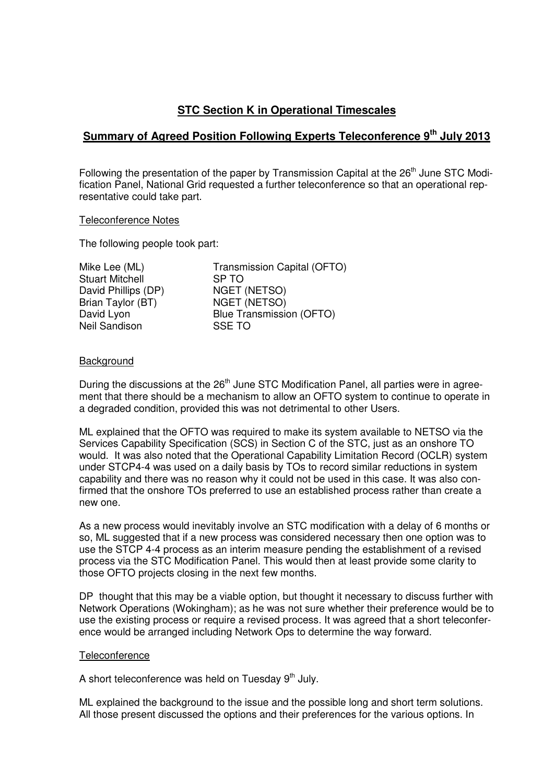# **STC Section K in Operational Timescales**

# **Summary of Agreed Position Following Experts Teleconference 9th July 2013**

Following the presentation of the paper by Transmission Capital at the 26<sup>th</sup> June STC Modification Panel, National Grid requested a further teleconference so that an operational representative could take part.

### Teleconference Notes

The following people took part:

| Mike Lee (ML)          | Transmission Capital (OFTO)     |
|------------------------|---------------------------------|
| <b>Stuart Mitchell</b> | SP <sub>TO</sub>                |
| David Phillips (DP)    | <b>NGET (NETSO)</b>             |
| Brian Taylor (BT)      | <b>NGET (NETSO)</b>             |
| David Lyon             | <b>Blue Transmission (OFTO)</b> |
| Neil Sandison          | <b>SSE TO</b>                   |
|                        |                                 |

## **Background**

During the discussions at the 26<sup>th</sup> June STC Modification Panel, all parties were in agreement that there should be a mechanism to allow an OFTO system to continue to operate in a degraded condition, provided this was not detrimental to other Users.

ML explained that the OFTO was required to make its system available to NETSO via the Services Capability Specification (SCS) in Section C of the STC, just as an onshore TO would. It was also noted that the Operational Capability Limitation Record (OCLR) system under STCP4-4 was used on a daily basis by TOs to record similar reductions in system capability and there was no reason why it could not be used in this case. It was also confirmed that the onshore TOs preferred to use an established process rather than create a new one.

As a new process would inevitably involve an STC modification with a delay of 6 months or so, ML suggested that if a new process was considered necessary then one option was to use the STCP 4-4 process as an interim measure pending the establishment of a revised process via the STC Modification Panel. This would then at least provide some clarity to those OFTO projects closing in the next few months.

DP thought that this may be a viable option, but thought it necessary to discuss further with Network Operations (Wokingham); as he was not sure whether their preference would be to use the existing process or require a revised process. It was agreed that a short teleconference would be arranged including Network Ops to determine the way forward.

#### **Teleconference**

A short teleconference was held on Tuesday  $9<sup>th</sup>$  July.

ML explained the background to the issue and the possible long and short term solutions. All those present discussed the options and their preferences for the various options. In